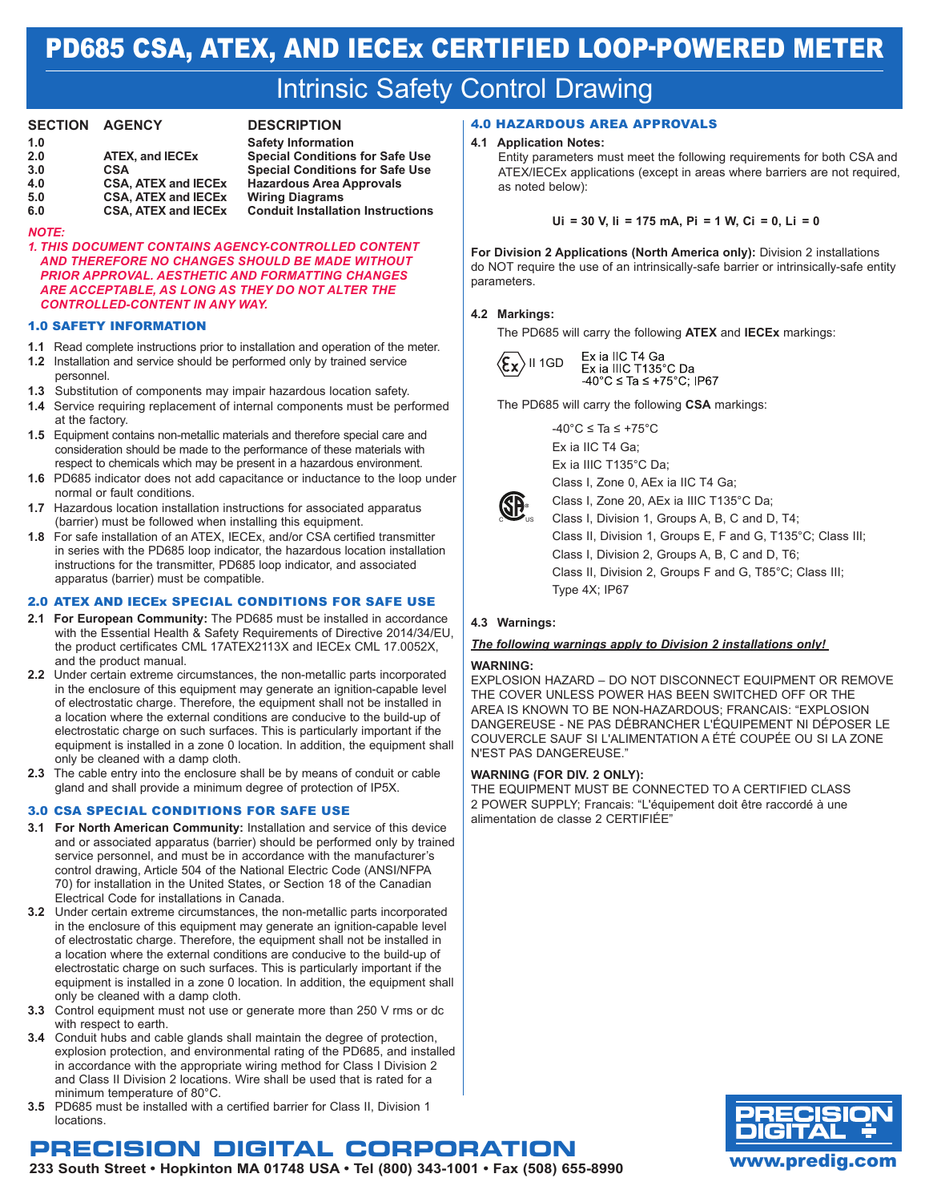# PD685 CSA, ATEX, and IECEx CERTIFIED Loop-powered meter

# **Intrinsic Safety Control Drawing**

#### **SECTION AGENCY**

|--|

| 1.0 |                            |
|-----|----------------------------|
| 2.0 | <b>ATEX, and IECEX</b>     |
| 3.0 | CSA                        |
| 4.0 | <b>CSA, ATEX and IECEX</b> |
| 5.0 | <b>CSA, ATEX and IECEX</b> |
| c n | COA ATEV and IECEV         |

**1.0 Safety Information 2.0 2.0 ATEX, Special Conditions for Safe Use 3.0 CSA Special Conditions for Safe Use 4.0 CSA, ATEX and IECEx Hazardous Area Approvals Wiring Diagrams 6.0 CSA, ATEX and IECEx Conduit Installation Instructions**

#### *Note:*

*1. This document contains agency-controlled content and therefore no changes should be made without prior approval. Aesthetic and formatting changes are acceptable, as long as they do not alter the controlled-content in any way.* 

#### 1.0 SAFETY INFORMATION

- **1.1** Read complete instructions prior to installation and operation of the meter.
- **1.2** Installation and service should be performed only by trained service personnel.
- **1.3** Substitution of components may impair hazardous location safety.
- **1.4** Service requiring replacement of internal components must be performed at the factory.
- **1.5** Equipment contains non-metallic materials and therefore special care and consideration should be made to the performance of these materials with respect to chemicals which may be present in a hazardous environment.
- **1.6** PD685 indicator does not add capacitance or inductance to the loop under normal or fault conditions.
- **1.7** Hazardous location installation instructions for associated apparatus (barrier) must be followed when installing this equipment.
- **1.8** For safe installation of an ATEX, IECEx, and/or CSA certified transmitter in series with the PD685 loop indicator, the hazardous location installation instructions for the transmitter, PD685 loop indicator, and associated apparatus (barrier) must be compatible.

#### 2.0 ATEX AND IECEx Special Conditions for Safe Use

- **2.1 For European Community:** The PD685 must be installed in accordance with the Essential Health & Safety Requirements of Directive 2014/34/EU, the product certificates CML 17ATEX2113X and IECEx CML 17.0052X, and the product manual.
- **2.2** Under certain extreme circumstances, the non-metallic parts incorporated in the enclosure of this equipment may generate an ignition-capable level of electrostatic charge. Therefore, the equipment shall not be installed in a location where the external conditions are conducive to the build-up of electrostatic charge on such surfaces. This is particularly important if the equipment is installed in a zone 0 location. In addition, the equipment shall only be cleaned with a damp cloth.
- **2.3** The cable entry into the enclosure shall be by means of conduit or cable gland and shall provide a minimum degree of protection of IP5X.

#### 3.0 CSA Special Conditions for Safe Use

- **3.1 For North American Community:** Installation and service of this device and or associated apparatus (barrier) should be performed only by trained service personnel, and must be in accordance with the manufacturer's control drawing, Article 504 of the National Electric Code (ANSI/NFPA 70) for installation in the United States, or Section 18 of the Canadian Electrical Code for installations in Canada.
- **3.2** Under certain extreme circumstances, the non-metallic parts incorporated in the enclosure of this equipment may generate an ignition-capable level of electrostatic charge. Therefore, the equipment shall not be installed in a location where the external conditions are conducive to the build-up of electrostatic charge on such surfaces. This is particularly important if the equipment is installed in a zone 0 location. In addition, the equipment shall only be cleaned with a damp cloth.
- **3.3** Control equipment must not use or generate more than 250 V rms or dc with respect to earth.
- **3.4** Conduit hubs and cable glands shall maintain the degree of protection, explosion protection, and environmental rating of the PD685, and installed in accordance with the appropriate wiring method for Class I Division 2 and Class II Division 2 locations. Wire shall be used that is rated for a minimum temperature of 80°C.
- **3.5** PD685 must be installed with a certified barrier for Class II, Division 1 locations.

### as noted below):

**4.1 Application Notes:** 

#### **Ui = 30 V, li = 175 mA, Pi = 1 W, Ci = 0, Li = 0**

Entity parameters must meet the following requirements for both CSA and ATEX/IECEx applications (except in areas where barriers are not required,

**For Division 2 Applications (North America only):** Division 2 installations do NOT require the use of an intrinsically-safe barrier or intrinsically-safe entity parameters.

#### **4.2 Markings:**

The PD685 will carry the following **ATEX** and **IECEx** markings:



Ex ia IIC T4 Ga Ex ia IIIC T135°C Da -40°C ≤ Ta ≤ +75°C; IP67

The PD685 will carry the following **CSA** markings:

 $-40^{\circ}$ C ≤ Ta ≤ +75 $^{\circ}$ C Ex ia IIC T4 Ga; Ex ia IIIC T135°C Da; Class I, Zone 0, AEx ia IIC T4 Ga;

4.0 Hazardous Area Approvals



Class I, Zone 20, AEx ia IIIC T135°C Da; Class I, Division 1, Groups A, B, C and D, T4; Class II, Division 1, Groups E, F and G, T135°C; Class III; Class I, Division 2, Groups A, B, C and D, T6; Class II, Division 2, Groups F and G, T85°C; Class III; Type 4X; IP67

#### **4.3 Warnings:**

#### *The following warnings apply to Division 2 installations only!*

#### **WARNING:**

EXPLOSION HAZARD – DO NOT DISCONNECT EQUIPMENT OR REMOVE THE COVER UNLESS POWER HAS BEEN SWITCHED OFF OR THE AREA IS KNOWN TO BE NON-HAZARDOUS; FRANCAIS: "EXPLOSION DANGEREUSE - NE PAS DÉBRANCHER L'ÉQUIPEMENT NI DÉPOSER LE COUVERCLE SAUF SI L'ALIMENTATION A ÉTÉ COUPÉE OU SI LA ZONE N'EST PAS DANGEREUSE."

#### **WARNING (FOR DIV. 2 ONLY):**

THE EQUIPMENT MUST BE CONNECTED TO A CERTIFIED CLASS 2 POWER SUPPLY; Francais: "L'équipement doit être raccordé à une alimentation de classe 2 CERTIFIÉE"



### **Precision Digital Corporation**

**233 South Street • Hopkinton MA 01748 USA • Tel (800) 343-1001 • Fax (508) 655-8990** www.predig.com